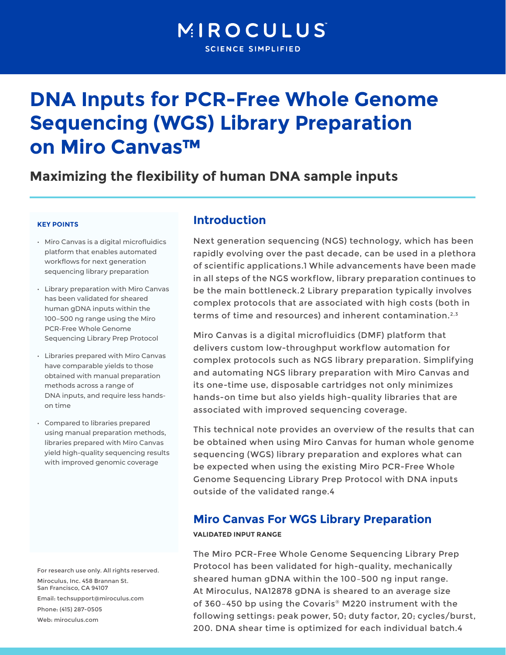# MIROCULUS **SCIENCE SIMPLIFIED**

# **DNA Inputs for PCR-Free Whole Genome Sequencing (WGS) Library Preparation on Miro Canvas™**

# **Maximizing the flexibility of human DNA sample inputs**

#### **KEY POINTS**

- • Miro Canvas is a digital microfluidics platform that enables automated workflows for next generation sequencing library preparation
- • Library preparation with Miro Canvas has been validated for sheared human gDNA inputs within the 100–500 ng range using the Miro PCR-Free Whole Genome Sequencing Library Prep Protocol
- Libraries prepared with Miro Canvas have comparable yields to those obtained with manual preparation methods across a range of DNA inputs, and require less handson time
- Compared to libraries prepared using manual preparation methods, libraries prepared with Miro Canvas yield high-quality sequencing results with improved genomic coverage

For research use only. All rights reserved. Miroculus, Inc. 458 Brannan St. San Francisco, CA 94107 Email: techsupport@miroculus.com Phone: (415) 287-0505 Web: miroculus.com

## **Introduction**

Next generation sequencing (NGS) technology, which has been rapidly evolving over the past decade, can be used in a plethora of scientific applications.1 While advancements have been made in all steps of the NGS workflow, library preparation continues to be the main bottleneck.2 Library preparation typically involves complex protocols that are associated with high costs (both in terms of time and resources) and inherent contamination.<sup>2,3</sup>

Miro Canvas is a digital microfluidics (DMF) platform that delivers custom low-throughput workflow automation for complex protocols such as NGS library preparation. Simplifying and automating NGS library preparation with Miro Canvas and its one-time use, disposable cartridges not only minimizes hands-on time but also yields high-quality libraries that are associated with improved sequencing coverage.

This technical note provides an overview of the results that can be obtained when using Miro Canvas for human whole genome sequencing (WGS) library preparation and explores what can be expected when using the existing Miro PCR-Free Whole Genome Sequencing Library Prep Protocol with DNA inputs outside of the validated range.4

### **Miro Canvas For WGS Library Preparation**

#### **VALIDATED INPUT RANGE**

The Miro PCR-Free Whole Genome Sequencing Library Prep Protocol has been validated for high-quality, mechanically sheared human gDNA within the 100–500 ng input range. At Miroculus, NA12878 gDNA is sheared to an average size of 360–450 bp using the Covaris® M220 instrument with the following settings: peak power, 50; duty factor, 20; cycles/burst, 200. DNA shear time is optimized for each individual batch.4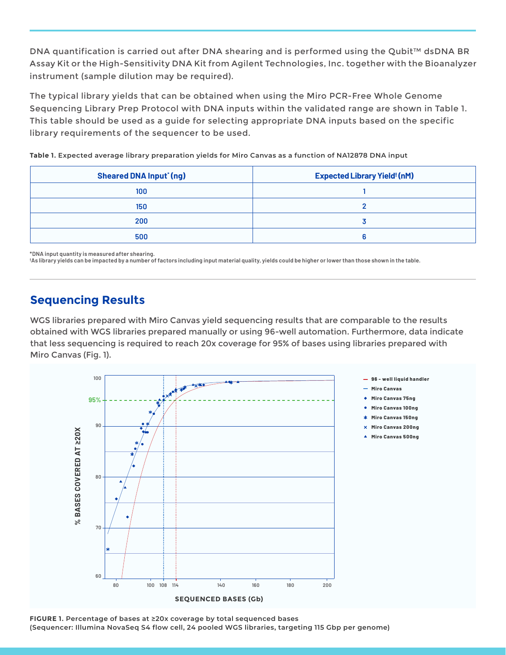DNA quantification is carried out after DNA shearing and is performed using the Qubit™ dsDNA BR Assay Kit or the High-Sensitivity DNA Kit from Agilent Technologies, Inc. together with the Bioanalyzer instrument (sample dilution may be required).

The typical library yields that can be obtained when using the Miro PCR-Free Whole Genome Sequencing Library Prep Protocol with DNA inputs within the validated range are shown in Table 1. This table should be used as a guide for selecting appropriate DNA inputs based on the specific library requirements of the sequencer to be used.

**Table 1. Expected average library preparation yields for Miro Canvas as a function of NA12878 DNA input**

| <b>Sheared DNA Input<sup>*</sup>(ng)</b> | <b>Expected Library Yield<sup>t</sup> (nM)</b> |
|------------------------------------------|------------------------------------------------|
| 100                                      |                                                |
| 150                                      |                                                |
| 200                                      |                                                |
| 500                                      |                                                |

**\*DNA input quantity is measured after shearing.**

**† As library yields can be impacted by a number of factors including input material quality, yields could be higher or lower than those shown in the table.**

# **Sequencing Results**

WGS libraries prepared with Miro Canvas yield sequencing results that are comparable to the results obtained with WGS libraries prepared manually or using 96-well automation. Furthermore, data indicate that less sequencing is required to reach 20x coverage for 95% of bases using libraries prepared with Miro Canvas (Fig. 1).



**FIGURE 1. Percentage of bases at ≥20x coverage by total sequenced bases (Sequencer: Illumina NovaSeq S4 flow cell, 24 pooled WGS libraries, targeting 115 Gbp per genome)**